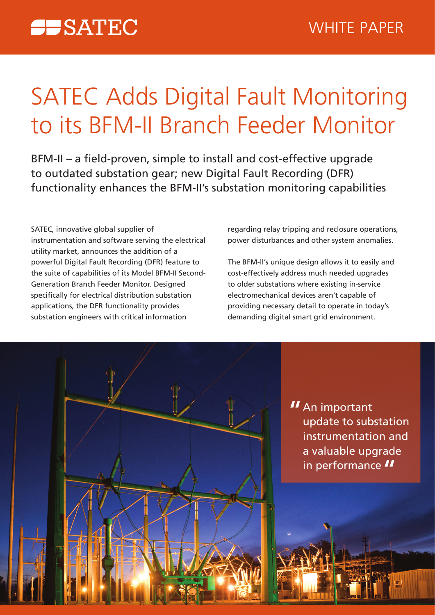# **SATEC Adds Digital Fault Monitoring** to its BFM-II Branch Feeder Monitor

BFM-II – a field-proven, simple to install and cost-effective upgrade to outdated substation gear; new Digital Fault Recording (DFR) functionality enhances the BFM-II's substation monitoring capabilities

SATEC, innovative global supplier of instrumentation and software serving the electrical utility market, announces the addition of a powerful Digital Fault Recording (DFR) feature to Generation Branch Feeder Monitor. Designed the suite of capabilities of its Model BFM-II Secondspecifically for electrical distribution substation applications, the DFR functionality provides substation engineers with critical information

regarding relay tripping and reclosure operations, power disturbances and other system anomalies.

The BFM-II's unique design allows it to easily and cost-effectively address much needed upgrades to older substations where existing in-service electromechanical devices aren't capable of providing necessary detail to operate in today's demanding digital smart grid environment.